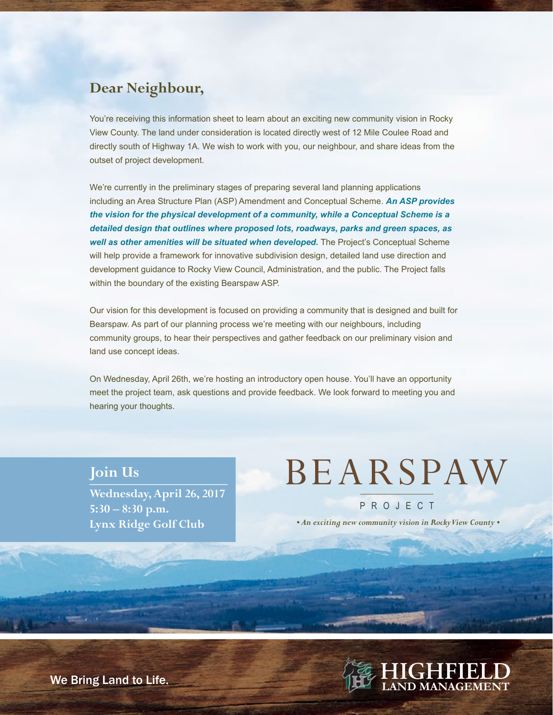# **Dear Neighbour,**

You're receiving this information sheet to learn about an exciting new community vision in Rocky View County. The land under consideration is located directly west of 12 Mile Coulee Road and directly south of Highway 1A. We wish to work with you, our neighbour, and share ideas from the outset of project development.

We're currently in the preliminary stages of preparing several land planning applications including an Area Structure Plan (ASP) Amendment and Conceptual Scheme. *An ASP provides the vision for the physical development of a community, while a Conceptual Scheme is a detailed design that outlines where proposed lots, roadways, parks and green spaces, as*  well as other amenities will be situated when developed. The Project's Conceptual Scheme will help provide a framework for innovative subdivision design, detailed land use direction and development guidance to Rocky View Council, Administration, and the public. The Project falls within the boundary of the existing Bearspaw ASP.

Our vision for this development is focused on providing a community that is designed and built for Bearspaw. As part of our planning process we're meeting with our neighbours, including community groups, to hear their perspectives and gather feedback on our preliminary vision and land use concept ideas.

On Wednesday, April 26th, we're hosting an introductory open house. You'll have an opportunity meet the project team, ask questions and provide feedback. We look forward to meeting you and hearing your thoughts.

### **Join Us**

**Wednesday, April 26, 2017 5:30 – 8:30 p.m. Lynx Ridge Golf Club**

# BEARSPAW

P R O J E C T

 *• An exciting new community vision in Rocky View County •*



We Bring Land to Life.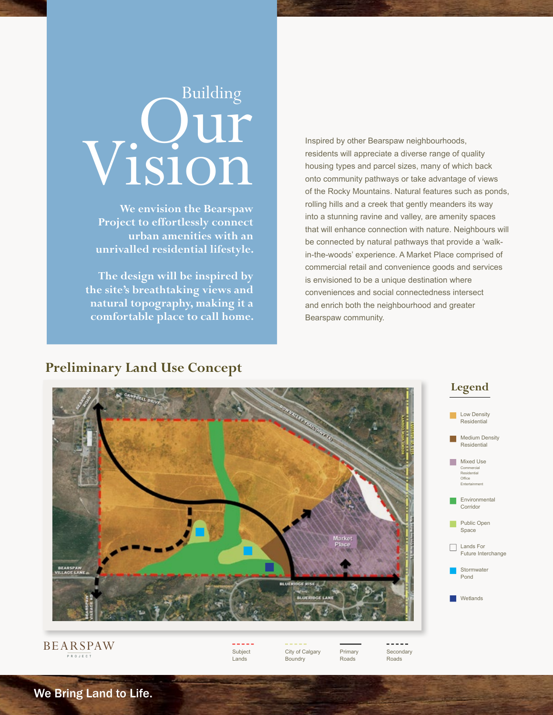# Vision Building and the set of the set of the set of the set of the set of the set of the set of the set of the set of the set of the set of the set of the set of the set of the set of the set of the set of the set of the set of

**We envision the Bearspaw Project to effortlessly connect urban amenities with an unrivalled residential lifestyle.**

**The design will be inspired by the site's breathtaking views and natural topography, making it a comfortable place to call home.** Inspired by other Bearspaw neighbourhoods, residents will appreciate a diverse range of quality housing types and parcel sizes, many of which back onto community pathways or take advantage of views of the Rocky Mountains. Natural features such as ponds, rolling hills and a creek that gently meanders its way into a stunning ravine and valley, are amenity spaces that will enhance connection with nature. Neighbours will be connected by natural pathways that provide a 'walkin-the-woods' experience. A Market Place comprised of commercial retail and convenience goods and services is envisioned to be a unique destination where conveniences and social connectedness intersect and enrich both the neighbourhood and greater Bearspaw community.

# **Preliminary Land Use Concept**



#### BEARSPAW P R O J E C T

Subject Lands

City of Calgary Boundry

Primary Roads

**Secondary** Roads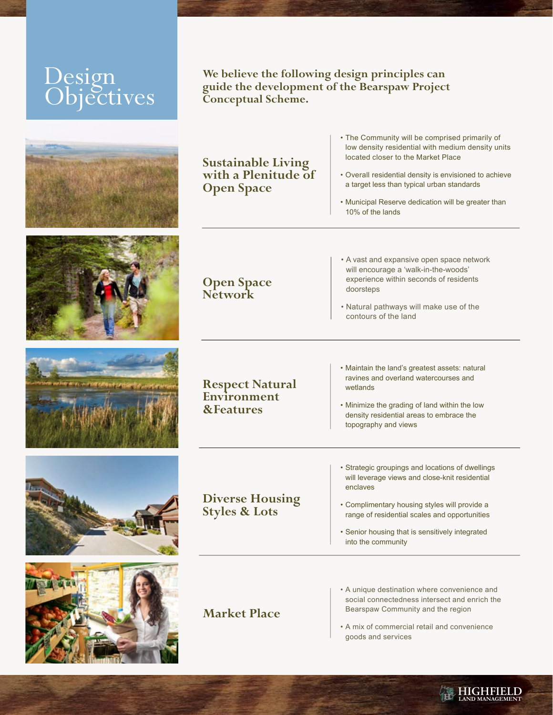# Design Objectives











**We believe the following design principles can guide the development of the Bearspaw Project Conceptual Scheme.** 

**Sustainable Living with a Plenitude of Open Space**

- The Community will be comprised primarily of low density residential with medium density units located closer to the Market Place
- Overall residential density is envisioned to achieve a target less than typical urban standards
- Municipal Reserve dedication will be greater than 10% of the lands

**Open Space Network**

- A vast and expansive open space network will encourage a 'walk-in-the-woods' experience within seconds of residents doorsteps
- Natural pathways will make use of the contours of the land

**Respect Natural Environment &Features**

**Diverse Housing Styles & Lots**

• Maintain the land's greatest assets: natural ravines and overland watercourses and wetlands

• Minimize the grading of land within the low density residential areas to embrace the topography and views

• Strategic groupings and locations of dwellings will leverage views and close-knit residential enclaves

- Complimentary housing styles will provide a range of residential scales and opportunities
- Senior housing that is sensitively integrated into the community

**Market Place**

- A unique destination where convenience and social connectedness intersect and enrich the Bearspaw Community and the region
- A mix of commercial retail and convenience goods and services